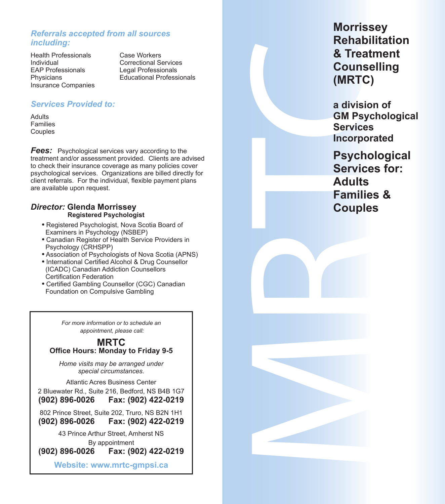# *Referrals accepted from all sources including:*

Health Professionals Case Workers<br>
Individual Correctional Sc Individual Correctional Services EAP Professionals Legal Professionals<br>
Physicians Calcucational Professionals Insurance Companies

**Educational Professionals** 

# *Services Provided to:*

Adults Families Couples

*Fees:* Psychological services vary according to the treatment and/or assessment provided. Clients are advised to check their insurance coverage as many policies cover psychological services. Organizations are billed directly for client referrals. For the individual, flexible payment plans are available upon request.

#### *Director:* **Glenda Morrissey Registered Psychologist**

- **•** Registered Psychologist, Nova Scotia Board of Examiners in Psychology (NSBEP)
- **•** Canadian Register of Health Service Providers in Psychology (CRHSPP)
- **•** Association of Psychologists of Nova Scotia (APNS)
- **•** International Certified Alcohol & Drug Counsellor (ICADC) Canadian Addiction Counsellors Certification Federation
- **•** Certified Gambling Counsellor (CGC) Canadian Foundation on Compulsive Gambling

*For more information or to schedule an appointment, please call:*

#### **MRTC Office Hours: Monday to Friday 9-5**

*Home visits may be arranged under special circumstances.*

Atlantic Acres Business Center 2 Bluewater Rd., Suite 216, Bedford, NS B4B 1G7 **(902) 896-0026 Fax: (902) 422-0219**

802 Prince Street, Suite 202, Truro, NS B2N 1H1 **(902) 896-0026 Fax: (902) 422-0219**

43 Prince Arthur Street, Amherst NS

By appointment<br>**902) 896-0026 Fax: (9) (902) 896-0026 Fax: (902) 422-0219**

**Website: www.mrtc-gmpsi.ca**

**Morrissey Rehabilitation & Treatment Counselling (MRTC)**

**a division of GM Psychological Services Incorporated**

& Treatr<br>
Counse<br>
(MRTC)<br>
a divisior<br>
GM Psychol<br>
Services<br>
Psychol<br>
Services<br>
Adults<br>
Families<br>
Couples **Psychological Services for: Adults Families & Couples**